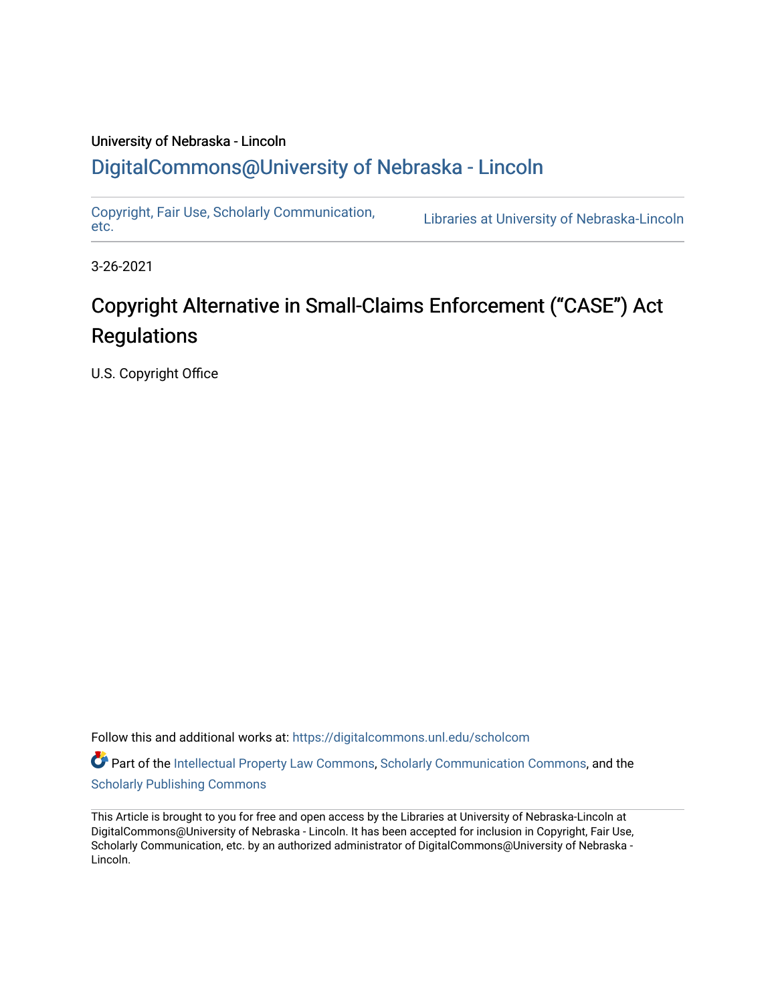## University of Nebraska - Lincoln [DigitalCommons@University of Nebraska - Lincoln](https://digitalcommons.unl.edu/)

[Copyright, Fair Use, Scholarly Communication,](https://digitalcommons.unl.edu/scholcom)  Copyright, Fair Use, Scholarly Communication, Elbraries at University of Nebraska-Lincoln<br>[etc.](https://digitalcommons.unl.edu/scholcom)

3-26-2021

# Copyright Alternative in Small-Claims Enforcement ("CASE") Act **Regulations**

U.S. Copyright Office

Follow this and additional works at: [https://digitalcommons.unl.edu/scholcom](https://digitalcommons.unl.edu/scholcom?utm_source=digitalcommons.unl.edu%2Fscholcom%2F201&utm_medium=PDF&utm_campaign=PDFCoverPages)

Part of the [Intellectual Property Law Commons,](http://network.bepress.com/hgg/discipline/896?utm_source=digitalcommons.unl.edu%2Fscholcom%2F201&utm_medium=PDF&utm_campaign=PDFCoverPages) [Scholarly Communication Commons,](http://network.bepress.com/hgg/discipline/1272?utm_source=digitalcommons.unl.edu%2Fscholcom%2F201&utm_medium=PDF&utm_campaign=PDFCoverPages) and the [Scholarly Publishing Commons](http://network.bepress.com/hgg/discipline/1273?utm_source=digitalcommons.unl.edu%2Fscholcom%2F201&utm_medium=PDF&utm_campaign=PDFCoverPages)

This Article is brought to you for free and open access by the Libraries at University of Nebraska-Lincoln at DigitalCommons@University of Nebraska - Lincoln. It has been accepted for inclusion in Copyright, Fair Use, Scholarly Communication, etc. by an authorized administrator of DigitalCommons@University of Nebraska - Lincoln.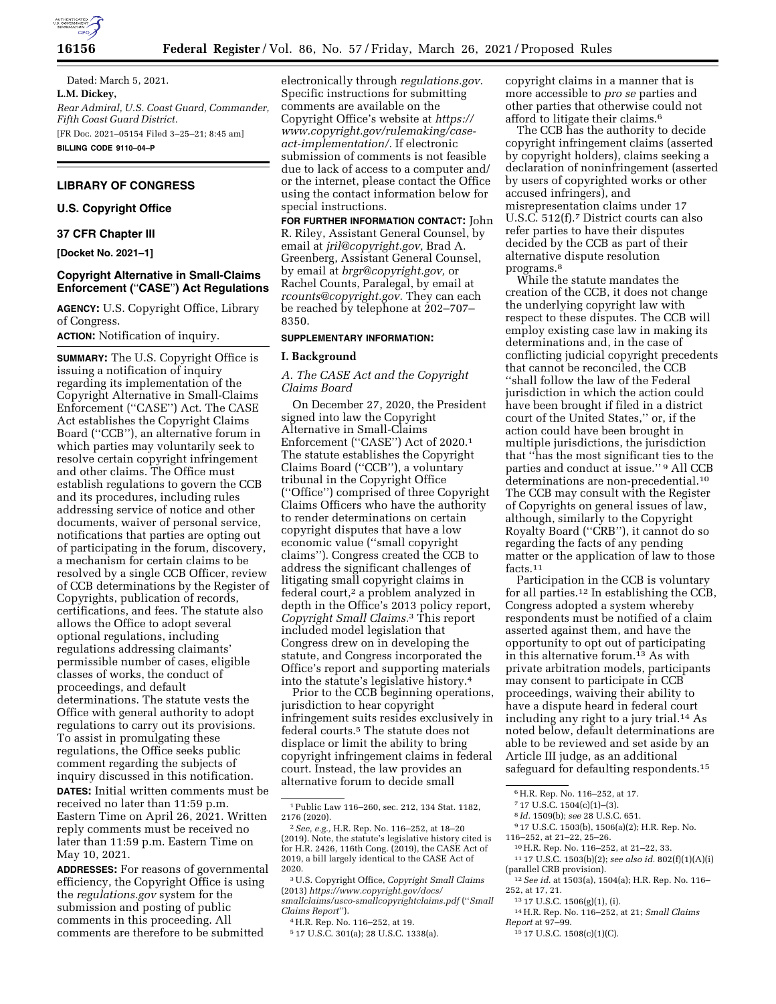

**16156 Federal Register** / Vol. 86, No. 57 / Friday, March 26, 2021 / Proposed Rules

Dated: March 5, 2021. **L.M. Dickey,**  *Rear Admiral, U.S. Coast Guard, Commander, Fifth Coast Guard District.*  [FR Doc. 2021–05154 Filed 3–25–21; 8:45 am] **BILLING CODE 9110–04–P** 

## **LIBRARY OF CONGRESS**

## **U.S. Copyright Office**

## **37 CFR Chapter III**

**[Docket No. 2021–1]** 

## **Copyright Alternative in Small-Claims Enforcement (**''**CASE**''**) Act Regulations**

**AGENCY:** U.S. Copyright Office, Library of Congress.

**ACTION:** Notification of inquiry.

**SUMMARY:** The U.S. Copyright Office is issuing a notification of inquiry regarding its implementation of the Copyright Alternative in Small-Claims Enforcement (''CASE'') Act. The CASE Act establishes the Copyright Claims Board (''CCB''), an alternative forum in which parties may voluntarily seek to resolve certain copyright infringement and other claims. The Office must establish regulations to govern the CCB and its procedures, including rules addressing service of notice and other documents, waiver of personal service, notifications that parties are opting out of participating in the forum, discovery, a mechanism for certain claims to be resolved by a single CCB Officer, review of CCB determinations by the Register of Copyrights, publication of records, certifications, and fees. The statute also allows the Office to adopt several optional regulations, including regulations addressing claimants' permissible number of cases, eligible classes of works, the conduct of proceedings, and default determinations. The statute vests the Office with general authority to adopt regulations to carry out its provisions. To assist in promulgating these regulations, the Office seeks public comment regarding the subjects of inquiry discussed in this notification.

**DATES:** Initial written comments must be received no later than 11:59 p.m. Eastern Time on April 26, 2021. Written reply comments must be received no later than 11:59 p.m. Eastern Time on May 10, 2021.

**ADDRESSES:** For reasons of governmental efficiency, the Copyright Office is using the *regulations.gov* system for the submission and posting of public comments in this proceeding. All comments are therefore to be submitted

electronically through *regulations.gov.*  Specific instructions for submitting comments are available on the Copyright Office's website at *[https://](https://www.copyright.gov/rulemaking/case-act-implementation/) [www.copyright.gov/rulemaking/case](https://www.copyright.gov/rulemaking/case-act-implementation/)[act-implementation/.](https://www.copyright.gov/rulemaking/case-act-implementation/)* If electronic submission of comments is not feasible due to lack of access to a computer and/ or the internet, please contact the Office using the contact information below for special instructions.

**FOR FURTHER INFORMATION CONTACT:** John R. Riley, Assistant General Counsel, by email at *[jril@copyright.gov,](mailto:jril@copyright.gov)* Brad A. Greenberg, Assistant General Counsel, by email at *[brgr@copyright.gov,](mailto:brgr@copyright.gov)* or Rachel Counts, Paralegal, by email at *[rcounts@copyright.gov.](mailto:rcounts@copyright.gov)* They can each be reached by telephone at 202–707– 8350.

#### **SUPPLEMENTARY INFORMATION:**

#### **I. Background**

*A. The CASE Act and the Copyright Claims Board* 

On December 27, 2020, the President signed into law the Copyright Alternative in Small-Claims Enforcement (''CASE'') Act of 2020.1 The statute establishes the Copyright Claims Board (''CCB''), a voluntary tribunal in the Copyright Office (''Office'') comprised of three Copyright Claims Officers who have the authority to render determinations on certain copyright disputes that have a low economic value (''small copyright claims''). Congress created the CCB to address the significant challenges of litigating small copyright claims in federal court,<sup>2</sup> a problem analyzed in depth in the Office's 2013 policy report, *Copyright Small Claims.*3 This report included model legislation that Congress drew on in developing the statute, and Congress incorporated the Office's report and supporting materials into the statute's legislative history.4

Prior to the CCB beginning operations, jurisdiction to hear copyright infringement suits resides exclusively in federal courts.5 The statute does not displace or limit the ability to bring copyright infringement claims in federal court. Instead, the law provides an alternative forum to decide small

3U.S. Copyright Office, *Copyright Small Claims*  (2013) *[https://www.copyright.gov/docs/](https://www.copyright.gov/docs/smallclaims/usco-smallcopyrightclaims.pdf) [smallclaims/usco-smallcopyrightclaims.pdf](https://www.copyright.gov/docs/smallclaims/usco-smallcopyrightclaims.pdf)* (''*Small Claims Report*'').

5 17 U.S.C. 301(a); 28 U.S.C. 1338(a).

copyright claims in a manner that is more accessible to *pro se* parties and other parties that otherwise could not afford to litigate their claims.6

The CCB has the authority to decide copyright infringement claims (asserted by copyright holders), claims seeking a declaration of noninfringement (asserted by users of copyrighted works or other accused infringers), and misrepresentation claims under 17 U.S.C. 512(f).7 District courts can also refer parties to have their disputes decided by the CCB as part of their alternative dispute resolution programs.8

While the statute mandates the creation of the CCB, it does not change the underlying copyright law with respect to these disputes. The CCB will employ existing case law in making its determinations and, in the case of conflicting judicial copyright precedents that cannot be reconciled, the CCB ''shall follow the law of the Federal jurisdiction in which the action could have been brought if filed in a district court of the United States,'' or, if the action could have been brought in multiple jurisdictions, the jurisdiction that ''has the most significant ties to the parties and conduct at issue.'' 9 All CCB determinations are non-precedential.10 The CCB may consult with the Register of Copyrights on general issues of law, although, similarly to the Copyright Royalty Board (''CRB''), it cannot do so regarding the facts of any pending matter or the application of law to those facts.11

Participation in the CCB is voluntary for all parties.12 In establishing the CCB, Congress adopted a system whereby respondents must be notified of a claim asserted against them, and have the opportunity to opt out of participating in this alternative forum.13 As with private arbitration models, participants may consent to participate in CCB proceedings, waiving their ability to have a dispute heard in federal court including any right to a jury trial.14 As noted below, default determinations are able to be reviewed and set aside by an Article III judge, as an additional safeguard for defaulting respondents.15

<sup>9</sup> 17 U.S.C. 1503(b), 1506(a)(2); H.R. Rep. No.<br>116–252, at 21–22, 25–26.

- 
- <sup>10</sup> H.R. Rep. No. 116–252, at 21–22, 33.<br><sup>11</sup> 17 U.S.C. 1503(b)(2); *see also id.* 802(f)(1)(A)(i) (parallel CRB provision).
- <sup>12</sup> See id. at 1503(a), 1504(a); H.R. Rep. No. 116–252, at 17, 21.
- 

<sup>15</sup> 17 U.S.C. 1508(c)(1)(C).

<sup>1</sup>Public Law 116–260, sec. 212, 134 Stat. 1182, 2176 (2020).

<sup>2</sup>*See, e.g.,* H.R. Rep. No. 116–252, at 18–20 (2019). Note, the statute's legislative history cited is for H.R. 2426, 116th Cong. (2019), the CASE Act of 2019, a bill largely identical to the CASE Act of 2020.

<sup>4</sup>H.R. Rep. No. 116–252, at 19.

<sup>6</sup>H.R. Rep. No. 116–252, at 17.

<sup>&</sup>lt;sup>7</sup> 17 U.S.C. 1504(c)(1)–(3).<br><sup>8</sup> *Id.* 1509(b); *see* 28 U.S.C. 651.

<sup>252,</sup> at 17, 21. 13 17 U.S.C. 1506(g)(1), (i). 14H.R. Rep. No. 116–252, at 21; *Small Claims*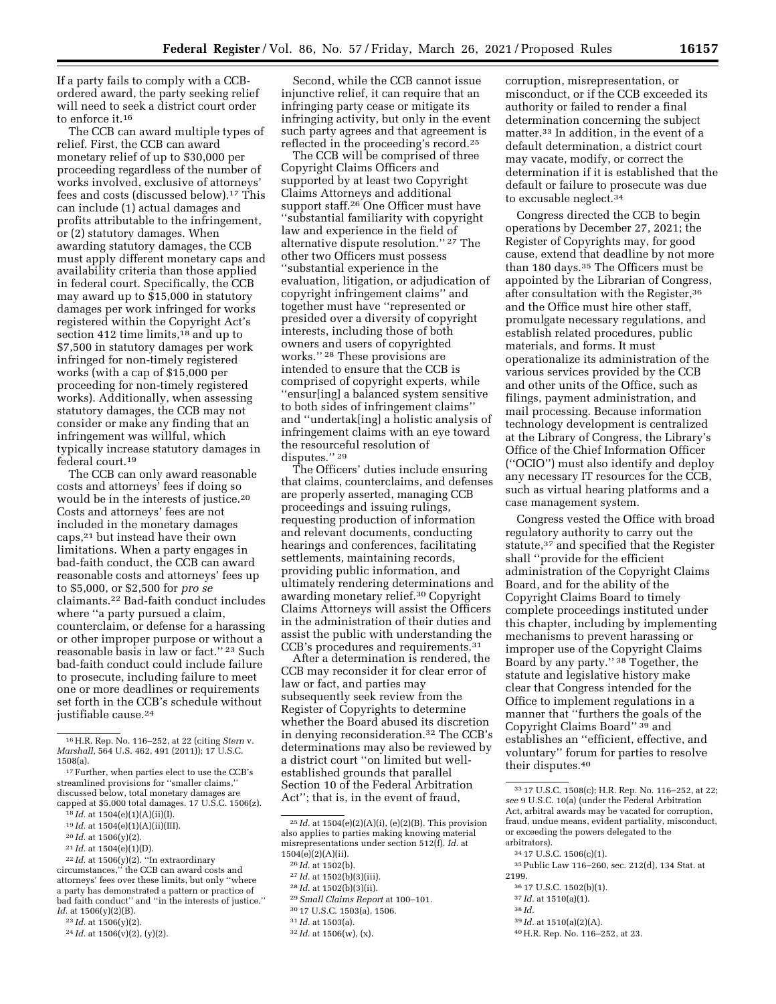If a party fails to comply with a CCBordered award, the party seeking relief will need to seek a district court order to enforce it.16

The CCB can award multiple types of relief. First, the CCB can award monetary relief of up to \$30,000 per proceeding regardless of the number of works involved, exclusive of attorneys' fees and costs (discussed below).17 This can include (1) actual damages and profits attributable to the infringement, or (2) statutory damages. When awarding statutory damages, the CCB must apply different monetary caps and availability criteria than those applied in federal court. Specifically, the CCB may award up to \$15,000 in statutory damages per work infringed for works registered within the Copyright Act's section 412 time limits,<sup>18</sup> and up to \$7,500 in statutory damages per work infringed for non-timely registered works (with a cap of \$15,000 per proceeding for non-timely registered works). Additionally, when assessing statutory damages, the CCB may not consider or make any finding that an infringement was willful, which typically increase statutory damages in federal court.19

The CCB can only award reasonable costs and attorneys' fees if doing so would be in the interests of justice.20 Costs and attorneys' fees are not included in the monetary damages caps,21 but instead have their own limitations. When a party engages in bad-faith conduct, the CCB can award reasonable costs and attorneys' fees up to \$5,000, or \$2,500 for *pro se*  claimants.22 Bad-faith conduct includes where ''a party pursued a claim, counterclaim, or defense for a harassing or other improper purpose or without a reasonable basis in law or fact.'' 23 Such bad-faith conduct could include failure to prosecute, including failure to meet one or more deadlines or requirements set forth in the CCB's schedule without justifiable cause.24

- 19 *Id.* at 1504(e)(1)(A)(ii)(III).
- 20 *Id.* at 1506(y)(2).
- 21 *Id.* at 1504(e)(1)(D).

- 23 *Id.* at 1506(y)(2).
- 24 *Id.* at 1506(v)(2), (y)(2).

Second, while the CCB cannot issue injunctive relief, it can require that an infringing party cease or mitigate its infringing activity, but only in the event such party agrees and that agreement is reflected in the proceeding's record.25

The CCB will be comprised of three Copyright Claims Officers and supported by at least two Copyright Claims Attorneys and additional support staff.26 One Officer must have ''substantial familiarity with copyright law and experience in the field of alternative dispute resolution.'' 27 The other two Officers must possess ''substantial experience in the evaluation, litigation, or adjudication of copyright infringement claims'' and together must have ''represented or presided over a diversity of copyright interests, including those of both owners and users of copyrighted works.'' 28 These provisions are intended to ensure that the CCB is comprised of copyright experts, while ''ensur[ing] a balanced system sensitive to both sides of infringement claims'' and ''undertak[ing] a holistic analysis of infringement claims with an eye toward the resourceful resolution of disputes.'' 29

The Officers' duties include ensuring that claims, counterclaims, and defenses are properly asserted, managing CCB proceedings and issuing rulings, requesting production of information and relevant documents, conducting hearings and conferences, facilitating settlements, maintaining records, providing public information, and ultimately rendering determinations and awarding monetary relief.30 Copyright Claims Attorneys will assist the Officers in the administration of their duties and assist the public with understanding the CCB's procedures and requirements.31

After a determination is rendered, the CCB may reconsider it for clear error of law or fact, and parties may subsequently seek review from the Register of Copyrights to determine whether the Board abused its discretion in denying reconsideration.32 The CCB's determinations may also be reviewed by a district court ''on limited but wellestablished grounds that parallel Section 10 of the Federal Arbitration Act''; that is, in the event of fraud,

- 28 *Id.* at 1502(b)(3)(ii).
- 29*Small Claims Report* at 100–101.
- 30 17 U.S.C. 1503(a), 1506.

corruption, misrepresentation, or misconduct, or if the CCB exceeded its authority or failed to render a final determination concerning the subject matter.33 In addition, in the event of a default determination, a district court may vacate, modify, or correct the determination if it is established that the default or failure to prosecute was due to excusable neglect.34

Congress directed the CCB to begin operations by December 27, 2021; the Register of Copyrights may, for good cause, extend that deadline by not more than 180 days.35 The Officers must be appointed by the Librarian of Congress, after consultation with the Register,36 and the Office must hire other staff, promulgate necessary regulations, and establish related procedures, public materials, and forms. It must operationalize its administration of the various services provided by the CCB and other units of the Office, such as filings, payment administration, and mail processing. Because information technology development is centralized at the Library of Congress, the Library's Office of the Chief Information Officer (''OCIO'') must also identify and deploy any necessary IT resources for the CCB, such as virtual hearing platforms and a case management system.

Congress vested the Office with broad regulatory authority to carry out the statute,<sup>37</sup> and specified that the Register shall ''provide for the efficient administration of the Copyright Claims Board, and for the ability of the Copyright Claims Board to timely complete proceedings instituted under this chapter, including by implementing mechanisms to prevent harassing or improper use of the Copyright Claims Board by any party.'' 38 Together, the statute and legislative history make clear that Congress intended for the Office to implement regulations in a manner that ''furthers the goals of the Copyright Claims Board'' 39 and establishes an ''efficient, effective, and voluntary'' forum for parties to resolve their disputes.40

35Public Law 116–260, sec. 212(d), 134 Stat. at 2199.

- 37 *Id.* at 1510(a)(1).
- 38 *Id.*
- 39 *Id.* at 1510(a)(2)(A).
- 40H.R. Rep. No. 116–252, at 23.

<sup>16</sup>H.R. Rep. No. 116–252, at 22 (citing *Stern* v. *Marshall,* 564 U.S. 462, 491 (2011)); 17 U.S.C. 1508(a).

<sup>17</sup>Further, when parties elect to use the CCB's streamlined provisions for ''smaller claims,'' discussed below, total monetary damages are capped at \$5,000 total damages. 17 U.S.C. 1506(z).

<sup>18</sup> *Id.* at 1504(e)(1)(A)(ii)(I).

 $22$  *Id.* at  $1506(y)(2)$ . "In extraordinary circumstances,'' the CCB can award costs and attorneys' fees over these limits, but only ''where a party has demonstrated a pattern or practice of bad faith conduct'' and ''in the interests of justice.'' *Id.* at 1506(y)(2)(B).

<sup>25</sup> *Id.* at 1504(e)(2)(A)(i), (e)(2)(B). This provision also applies to parties making knowing material misrepresentations under section 512(f). *Id.* at  $1504(e)(2)(A)(ii)$ .

<sup>26</sup> *Id.* at 1502(b).

<sup>27</sup> *Id.* at 1502(b)(3)(iii).

<sup>31</sup> *Id.* at 1503(a).

<sup>32</sup> *Id.* at 1506(w), (x).

<sup>33</sup> 17 U.S.C. 1508(c); H.R. Rep. No. 116–252, at 22; *see* 9 U.S.C. 10(a) (under the Federal Arbitration Act, arbitral awards may be vacated for corruption, fraud, undue means, evident partiality, misconduct, or exceeding the powers delegated to the arbitrators).

<sup>34</sup> 17 U.S.C. 1506(c)(1).

<sup>36</sup> 17 U.S.C. 1502(b)(1).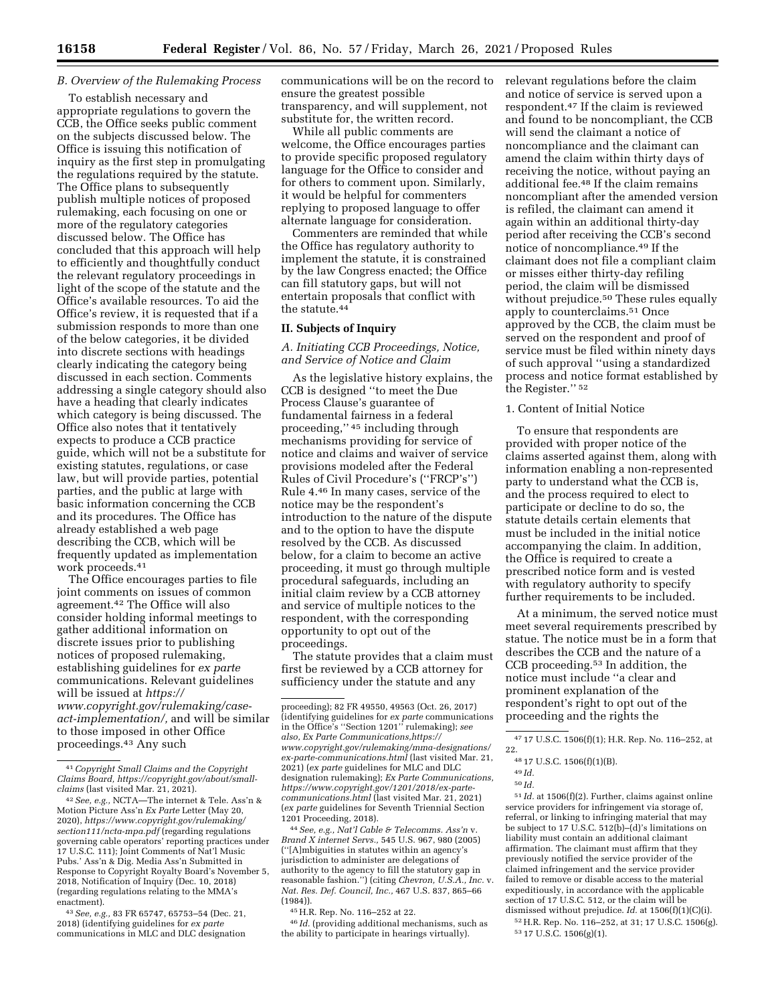## *B. Overview of the Rulemaking Process*

To establish necessary and appropriate regulations to govern the CCB, the Office seeks public comment on the subjects discussed below. The Office is issuing this notification of inquiry as the first step in promulgating the regulations required by the statute. The Office plans to subsequently publish multiple notices of proposed rulemaking, each focusing on one or more of the regulatory categories discussed below. The Office has concluded that this approach will help to efficiently and thoughtfully conduct the relevant regulatory proceedings in light of the scope of the statute and the Office's available resources. To aid the Office's review, it is requested that if a submission responds to more than one of the below categories, it be divided into discrete sections with headings clearly indicating the category being discussed in each section. Comments addressing a single category should also have a heading that clearly indicates which category is being discussed. The Office also notes that it tentatively expects to produce a CCB practice guide, which will not be a substitute for existing statutes, regulations, or case law, but will provide parties, potential parties, and the public at large with basic information concerning the CCB and its procedures. The Office has already established a web page describing the CCB, which will be frequently updated as implementation work proceeds.41

The Office encourages parties to file joint comments on issues of common agreement.42 The Office will also consider holding informal meetings to gather additional information on discrete issues prior to publishing notices of proposed rulemaking, establishing guidelines for *ex parte*  communications. Relevant guidelines will be issued at *[https://](https://www.copyright.gov/rulemaking/case-act-implementation/) [www.copyright.gov/rulemaking/case](https://www.copyright.gov/rulemaking/case-act-implementation/)[act-implementation/,](https://www.copyright.gov/rulemaking/case-act-implementation/)* and will be similar to those imposed in other Office proceedings.43 Any such

communications will be on the record to ensure the greatest possible transparency, and will supplement, not substitute for, the written record.

While all public comments are welcome, the Office encourages parties to provide specific proposed regulatory language for the Office to consider and for others to comment upon. Similarly, it would be helpful for commenters replying to proposed language to offer alternate language for consideration.

Commenters are reminded that while the Office has regulatory authority to implement the statute, it is constrained by the law Congress enacted; the Office can fill statutory gaps, but will not entertain proposals that conflict with the statute.<sup>44</sup>

## **II. Subjects of Inquiry**

*A. Initiating CCB Proceedings, Notice, and Service of Notice and Claim* 

As the legislative history explains, the CCB is designed ''to meet the Due Process Clause's guarantee of fundamental fairness in a federal proceeding,'' 45 including through mechanisms providing for service of notice and claims and waiver of service provisions modeled after the Federal Rules of Civil Procedure's (''FRCP's'') Rule 4.46 In many cases, service of the notice may be the respondent's introduction to the nature of the dispute and to the option to have the dispute resolved by the CCB. As discussed below, for a claim to become an active proceeding, it must go through multiple procedural safeguards, including an initial claim review by a CCB attorney and service of multiple notices to the respondent, with the corresponding opportunity to opt out of the proceedings.

The statute provides that a claim must first be reviewed by a CCB attorney for sufficiency under the statute and any

44*See, e.g., Nat'l Cable & Telecomms. Ass'n* v. *Brand X internet Servs.,* 545 U.S. 967, 980 (2005) (''[A]mbiguities in statutes within an agency's jurisdiction to administer are delegations of authority to the agency to fill the statutory gap in reasonable fashion.'') (citing *Chevron, U.S.A., Inc.* v. *Nat. Res. Def. Council, Inc.,* 467 U.S. 837, 865–66 (1984)).

45H.R. Rep. No. 116–252 at 22.

46 *Id.* (providing additional mechanisms, such as the ability to participate in hearings virtually).

relevant regulations before the claim and notice of service is served upon a respondent.47 If the claim is reviewed and found to be noncompliant, the CCB will send the claimant a notice of noncompliance and the claimant can amend the claim within thirty days of receiving the notice, without paying an additional fee.48 If the claim remains noncompliant after the amended version is refiled, the claimant can amend it again within an additional thirty-day period after receiving the CCB's second notice of noncompliance.49 If the claimant does not file a compliant claim or misses either thirty-day refiling period, the claim will be dismissed without prejudice.50 These rules equally apply to counterclaims.51 Once approved by the CCB, the claim must be served on the respondent and proof of service must be filed within ninety days of such approval ''using a standardized process and notice format established by the Register.'' 52

#### 1. Content of Initial Notice

To ensure that respondents are provided with proper notice of the claims asserted against them, along with information enabling a non-represented party to understand what the CCB is, and the process required to elect to participate or decline to do so, the statute details certain elements that must be included in the initial notice accompanying the claim. In addition, the Office is required to create a prescribed notice form and is vested with regulatory authority to specify further requirements to be included.

At a minimum, the served notice must meet several requirements prescribed by statue. The notice must be in a form that describes the CCB and the nature of a CCB proceeding.53 In addition, the notice must include ''a clear and prominent explanation of the respondent's right to opt out of the proceeding and the rights the

47 17 U.S.C. 1506(f)(1); H.R. Rep. No. 116–252, at 22.

51 *Id.* at 1506(f)(2). Further, claims against online service providers for infringement via storage of, referral, or linking to infringing material that may be subject to 17 U.S.C.  $512(b)$ –(d)'s limitations on liability must contain an additional claimant affirmation. The claimant must affirm that they previously notified the service provider of the claimed infringement and the service provider failed to remove or disable access to the material expeditiously, in accordance with the applicable section of 17 U.S.C. 512, or the claim will be dismissed without prejudice. *Id.* at 1506(f)(1)(C)(i).

52H.R. Rep. No. 116–252, at 31; 17 U.S.C. 1506(g). 53 17 U.S.C. 1506(g)(1).

<sup>41</sup>*Copyright Small Claims and the Copyright Claims Board, [https://copyright.gov/about/small](https://copyright.gov/about/small-claims)[claims](https://copyright.gov/about/small-claims)* (last visited Mar. 21, 2021).

<sup>42</sup>*See, e.g.,* NCTA—The internet & Tele. Ass'n & Motion Picture Ass'n *Ex Parte* Letter (May 20, 2020), *[https://www.copyright.gov/rulemaking/](https://www.copyright.gov/rulemaking/section111/ncta-mpa.pdf)  [section111/ncta-mpa.pdf](https://www.copyright.gov/rulemaking/section111/ncta-mpa.pdf)* (regarding regulations governing cable operators' reporting practices under 17 U.S.C. 111); Joint Comments of Nat'l Music Pubs.' Ass'n & Dig. Media Ass'n Submitted in Response to Copyright Royalty Board's November 5, 2018, Notification of Inquiry (Dec. 10, 2018) (regarding regulations relating to the MMA's enactment).

<sup>43</sup>*See, e.g.,* 83 FR 65747, 65753–54 (Dec. 21, 2018) (identifying guidelines for *ex parte*  communications in MLC and DLC designation

proceeding); 82 FR 49550, 49563 (Oct. 26, 2017) (identifying guidelines for *ex parte* communications in the Office's ''Section 1201'' rulemaking); *see also, Ex Parte Communications,[https://](https://www.copyright.gov/rulemaking/mma-designations/ex-parte-communications.html) [www.copyright.gov/rulemaking/mma-designations/](https://www.copyright.gov/rulemaking/mma-designations/ex-parte-communications.html) [ex-parte-communications.html](https://www.copyright.gov/rulemaking/mma-designations/ex-parte-communications.html)* (last visited Mar. 21, 2021) (*ex parte* guidelines for MLC and DLC designation rulemaking); *Ex Parte Communications, [https://www.copyright.gov/1201/2018/ex-parte](https://www.copyright.gov/1201/2018/ex-parte-communications.html)[communications.html](https://www.copyright.gov/1201/2018/ex-parte-communications.html)* (last visited Mar. 21, 2021) (*ex parte* guidelines for Seventh Triennial Section 1201 Proceeding, 2018).

<sup>48</sup> 17 U.S.C. 1506(f)(1)(B).

<sup>49</sup> *Id.* 

<sup>50</sup> *Id.*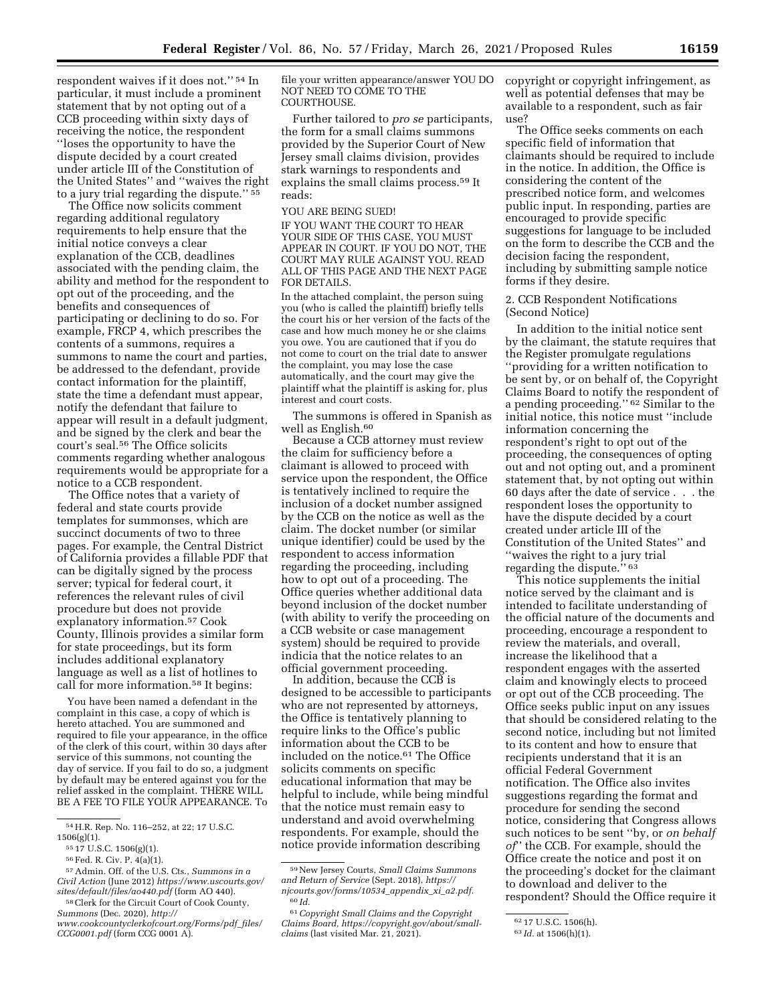respondent waives if it does not.'' 54 In particular, it must include a prominent statement that by not opting out of a CCB proceeding within sixty days of receiving the notice, the respondent ''loses the opportunity to have the dispute decided by a court created under article III of the Constitution of the United States'' and ''waives the right to a jury trial regarding the dispute.'' 55

The Office now solicits comment regarding additional regulatory requirements to help ensure that the initial notice conveys a clear explanation of the CCB, deadlines associated with the pending claim, the ability and method for the respondent to opt out of the proceeding, and the benefits and consequences of participating or declining to do so. For example, FRCP 4, which prescribes the contents of a summons, requires a summons to name the court and parties, be addressed to the defendant, provide contact information for the plaintiff, state the time a defendant must appear, notify the defendant that failure to appear will result in a default judgment, and be signed by the clerk and bear the court's seal.56 The Office solicits comments regarding whether analogous requirements would be appropriate for a notice to a CCB respondent.

The Office notes that a variety of federal and state courts provide templates for summonses, which are succinct documents of two to three pages. For example, the Central District of California provides a fillable PDF that can be digitally signed by the process server; typical for federal court, it references the relevant rules of civil procedure but does not provide explanatory information.57 Cook County, Illinois provides a similar form for state proceedings, but its form includes additional explanatory language as well as a list of hotlines to call for more information.58 It begins:

You have been named a defendant in the complaint in this case, a copy of which is hereto attached. You are summoned and required to file your appearance, in the office of the clerk of this court, within 30 days after service of this summons, not counting the day of service. If you fail to do so, a judgment by default may be entered against you for the relief assked in the complaint. THERE WILL BE A FEE TO FILE YOUR APPEARANCE. To

*[sites/default/files/ao440.pdf](https://www.uscourts.gov/sites/default/files/ao440.pdf)* (form AO 440). 58Clerk for the Circuit Court of Cook County,

file your written appearance/answer YOU DO NOT NEED TO COME TO THE COURTHOUSE.

Further tailored to *pro se* participants, the form for a small claims summons provided by the Superior Court of New Jersey small claims division, provides stark warnings to respondents and explains the small claims process.59 It reads:

## YOU ARE BEING SUED!

IF YOU WANT THE COURT TO HEAR YOUR SIDE OF THIS CASE, YOU MUST APPEAR IN COURT. IF YOU DO NOT, THE COURT MAY RULE AGAINST YOU. READ ALL OF THIS PAGE AND THE NEXT PAGE FOR DETAILS.

In the attached complaint, the person suing you (who is called the plaintiff) briefly tells the court his or her version of the facts of the case and how much money he or she claims you owe. You are cautioned that if you do not come to court on the trial date to answer the complaint, you may lose the case automatically, and the court may give the plaintiff what the plaintiff is asking for, plus interest and court costs.

The summons is offered in Spanish as well as English.60

Because a CCB attorney must review the claim for sufficiency before a claimant is allowed to proceed with service upon the respondent, the Office is tentatively inclined to require the inclusion of a docket number assigned by the CCB on the notice as well as the claim. The docket number (or similar unique identifier) could be used by the respondent to access information regarding the proceeding, including how to opt out of a proceeding. The Office queries whether additional data beyond inclusion of the docket number (with ability to verify the proceeding on a CCB website or case management system) should be required to provide indicia that the notice relates to an official government proceeding.

In addition, because the CCB is designed to be accessible to participants who are not represented by attorneys, the Office is tentatively planning to require links to the Office's public information about the CCB to be included on the notice.61 The Office solicits comments on specific educational information that may be helpful to include, while being mindful that the notice must remain easy to understand and avoid overwhelming respondents. For example, should the notice provide information describing

copyright or copyright infringement, as well as potential defenses that may be available to a respondent, such as fair use?

The Office seeks comments on each specific field of information that claimants should be required to include in the notice. In addition, the Office is considering the content of the prescribed notice form, and welcomes public input. In responding, parties are encouraged to provide specific suggestions for language to be included on the form to describe the CCB and the decision facing the respondent, including by submitting sample notice forms if they desire.

## 2. CCB Respondent Notifications (Second Notice)

In addition to the initial notice sent by the claimant, the statute requires that the Register promulgate regulations ''providing for a written notification to be sent by, or on behalf of, the Copyright Claims Board to notify the respondent of a pending proceeding.'' 62 Similar to the initial notice, this notice must ''include information concerning the respondent's right to opt out of the proceeding, the consequences of opting out and not opting out, and a prominent statement that, by not opting out within 60 days after the date of service . . . the respondent loses the opportunity to have the dispute decided by a court created under article III of the Constitution of the United States'' and ''waives the right to a jury trial regarding the dispute.'' 63

This notice supplements the initial notice served by the claimant and is intended to facilitate understanding of the official nature of the documents and proceeding, encourage a respondent to review the materials, and overall, increase the likelihood that a respondent engages with the asserted claim and knowingly elects to proceed or opt out of the CCB proceeding. The Office seeks public input on any issues that should be considered relating to the second notice, including but not limited to its content and how to ensure that recipients understand that it is an official Federal Government notification. The Office also invites suggestions regarding the format and procedure for sending the second notice, considering that Congress allows such notices to be sent ''by, or *on behalf of*'' the CCB. For example, should the Office create the notice and post it on the proceeding's docket for the claimant to download and deliver to the respondent? Should the Office require it

<sup>54</sup>H.R. Rep. No. 116–252, at 22; 17 U.S.C. 1506(g)(1).

<sup>55</sup> 17 U.S.C. 1506(g)(1).

<sup>56</sup>Fed. R. Civ. P. 4(a)(1).

<sup>57</sup>Admin. Off. of the U.S. Cts., *Summons in a Civil Action* (June 2012) *[https://www.uscourts.gov/](https://www.uscourts.gov/sites/default/files/ao440.pdf)* 

*Summons* (Dec. 2020), *[http://](http://www.cookcountyclerkofcourt.org/Forms/pdf_files/CCG0001.pdf) [www.cookcountyclerkofcourt.org/Forms/pdf](http://www.cookcountyclerkofcourt.org/Forms/pdf_files/CCG0001.pdf)*\_*files/ [CCG0001.pdf](http://www.cookcountyclerkofcourt.org/Forms/pdf_files/CCG0001.pdf)* (form CCG 0001 A).

<sup>59</sup>New Jersey Courts, *Small Claims Summons and Return of Service* (Sept. 2018), *[https://](https://njcourts.gov/forms/10534_appendix_xi_a2.pdf) [njcourts.gov/forms/10534](https://njcourts.gov/forms/10534_appendix_xi_a2.pdf)*\_*appendix*\_*xi*\_*a2.pdf.*  60 *Id.* 

<sup>61</sup>*Copyright Small Claims and the Copyright Claims Board, [https://copyright.gov/about/small](https://copyright.gov/about/small-claims)[claims](https://copyright.gov/about/small-claims)* (last visited Mar. 21, 2021).

<sup>62</sup> 17 U.S.C. 1506(h).

<sup>63</sup> *Id.* at 1506(h)(1).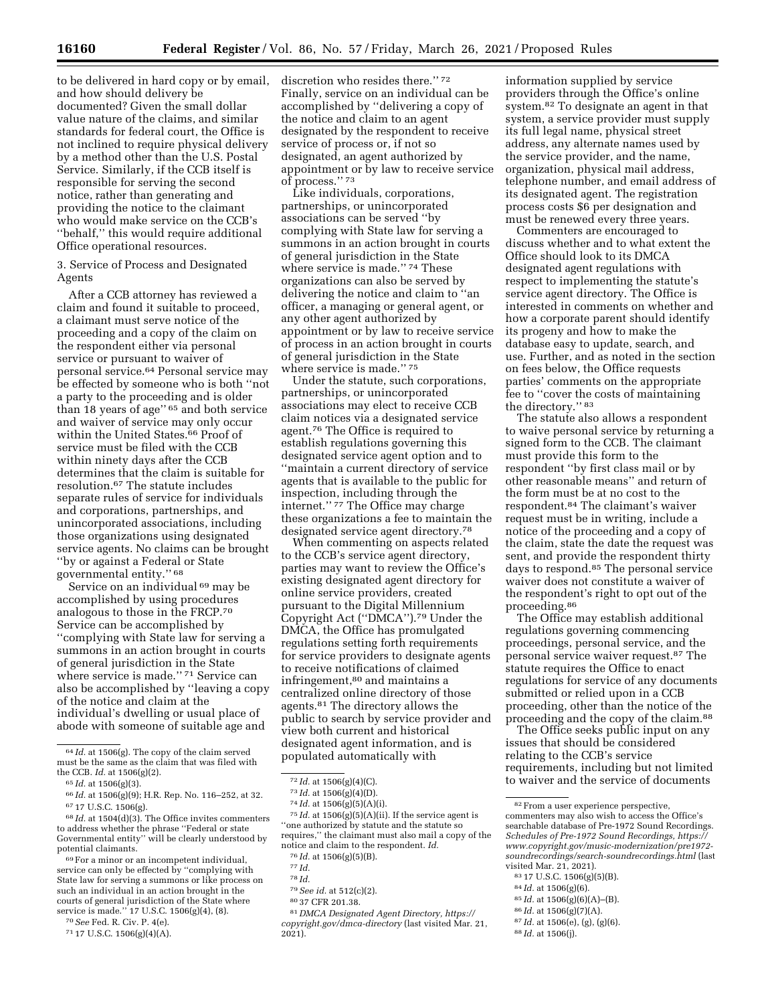to be delivered in hard copy or by email, and how should delivery be documented? Given the small dollar value nature of the claims, and similar standards for federal court, the Office is not inclined to require physical delivery by a method other than the U.S. Postal Service. Similarly, if the CCB itself is responsible for serving the second notice, rather than generating and providing the notice to the claimant who would make service on the CCB's ''behalf,'' this would require additional Office operational resources.

3. Service of Process and Designated Agents

After a CCB attorney has reviewed a claim and found it suitable to proceed, a claimant must serve notice of the proceeding and a copy of the claim on the respondent either via personal service or pursuant to waiver of personal service.64 Personal service may be effected by someone who is both ''not a party to the proceeding and is older than 18 years of age" <sup>65</sup> and both service and waiver of service may only occur within the United States.<sup>66</sup> Proof of service must be filed with the CCB within ninety days after the CCB determines that the claim is suitable for resolution.67 The statute includes separate rules of service for individuals and corporations, partnerships, and unincorporated associations, including those organizations using designated service agents. No claims can be brought ''by or against a Federal or State governmental entity.'' 68

Service on an individual <sup>69</sup> may be accomplished by using procedures analogous to those in the FRCP.70 Service can be accomplished by ''complying with State law for serving a summons in an action brought in courts of general jurisdiction in the State where service is made.'' 71 Service can also be accomplished by ''leaving a copy of the notice and claim at the individual's dwelling or usual place of abode with someone of suitable age and

69For a minor or an incompetent individual, service can only be effected by ''complying with State law for serving a summons or like process on such an individual in an action brought in the courts of general jurisdiction of the State where service is made.'' 17 U.S.C. 1506(g)(4), (8).

70*See* Fed. R. Civ. P. 4(e).

71 17 U.S.C. 1506(g)(4)(A).

discretion who resides there.'' 72 Finally, service on an individual can be accomplished by ''delivering a copy of the notice and claim to an agent designated by the respondent to receive service of process or, if not so designated, an agent authorized by appointment or by law to receive service of process.'' 73

Like individuals, corporations, partnerships, or unincorporated associations can be served ''by complying with State law for serving a summons in an action brought in courts of general jurisdiction in the State where service is made.'' 74 These organizations can also be served by delivering the notice and claim to ''an officer, a managing or general agent, or any other agent authorized by appointment or by law to receive service of process in an action brought in courts of general jurisdiction in the State where service is made.'' 75

Under the statute, such corporations, partnerships, or unincorporated associations may elect to receive CCB claim notices via a designated service agent.76 The Office is required to establish regulations governing this designated service agent option and to ''maintain a current directory of service agents that is available to the public for inspection, including through the internet.'' 77 The Office may charge these organizations a fee to maintain the designated service agent directory.78

When commenting on aspects related to the CCB's service agent directory, parties may want to review the Office's existing designated agent directory for online service providers, created pursuant to the Digital Millennium Copyright Act (''DMCA'').79 Under the DMCA, the Office has promulgated regulations setting forth requirements for service providers to designate agents to receive notifications of claimed infringement,80 and maintains a centralized online directory of those agents.81 The directory allows the public to search by service provider and view both current and historical designated agent information, and is populated automatically with

75 *Id.* at 1506(g)(5)(A)(ii). If the service agent is ''one authorized by statute and the statute so requires,'' the claimant must also mail a copy of the notice and claim to the respondent. *Id.* 

80 37 CFR 201.38.

81 *DMCA Designated Agent Directory, [https://](https://copyright.gov/dmca-directory) [copyright.gov/dmca-directory](https://copyright.gov/dmca-directory)* (last visited Mar. 21,  $2021$ ).

information supplied by service providers through the Office's online system.82 To designate an agent in that system, a service provider must supply its full legal name, physical street address, any alternate names used by the service provider, and the name, organization, physical mail address, telephone number, and email address of its designated agent. The registration process costs \$6 per designation and must be renewed every three years.

Commenters are encouraged to discuss whether and to what extent the Office should look to its DMCA designated agent regulations with respect to implementing the statute's service agent directory. The Office is interested in comments on whether and how a corporate parent should identify its progeny and how to make the database easy to update, search, and use. Further, and as noted in the section on fees below, the Office requests parties' comments on the appropriate fee to ''cover the costs of maintaining the directory.'' 83

The statute also allows a respondent to waive personal service by returning a signed form to the CCB. The claimant must provide this form to the respondent ''by first class mail or by other reasonable means'' and return of the form must be at no cost to the respondent.84 The claimant's waiver request must be in writing, include a notice of the proceeding and a copy of the claim, state the date the request was sent, and provide the respondent thirty days to respond.85 The personal service waiver does not constitute a waiver of the respondent's right to opt out of the proceeding.86

The Office may establish additional regulations governing commencing proceedings, personal service, and the personal service waiver request.87 The statute requires the Office to enact regulations for service of any documents submitted or relied upon in a CCB proceeding, other than the notice of the proceeding and the copy of the claim.88

The Office seeks public input on any issues that should be considered relating to the CCB's service requirements, including but not limited to waiver and the service of documents

- 84 *Id.* at 1506(g)(6).
- 85 *Id.* at 1506(g)(6)(A)–(B).
- 86 *Id.* at 1506(g)(7)(A).
- 87 *Id.* at 1506(e), (g), (g)(6).
- 88 *Id.* at 1506(j).

<sup>64</sup> *Id.* at 1506(g). The copy of the claim served must be the same as the claim that was filed with the CCB. *Id.* at 1506(g)(2).

<sup>65</sup> *Id.* at 1506(g)(3).

<sup>66</sup> *Id.* at 1506(g)(9); H.R. Rep. No. 116–252, at 32. 67 17 U.S.C. 1506(g).

<sup>68</sup> *Id.* at 1504(d)(3). The Office invites commenters to address whether the phrase ''Federal or state Governmental entity'' will be clearly understood by potential claimants.

<sup>72</sup> *Id.* at 1506(g)(4)(C).

<sup>73</sup> *Id.* at 1506(g)(4)(D).

<sup>74</sup> *Id.* at 1506(g)(5)(A)(i).

<sup>76</sup> *Id.* at 1506(g)(5)(B).

<sup>77</sup> *Id.* 

<sup>78</sup> *Id.* 

<sup>79</sup>*See id.* at 512(c)(2).

<sup>82</sup>From a user experience perspective, commenters may also wish to access the Office's searchable database of Pre-1972 Sound Recordings. *Schedules of Pre-1972 Sound Recordings, [https://](https://www.copyright.gov/music-modernization/pre1972-soundrecordings/search-soundrecordings.html) [www.copyright.gov/music-modernization/pre1972](https://www.copyright.gov/music-modernization/pre1972-soundrecordings/search-soundrecordings.html)  [soundrecordings/search-soundrecordings.html](https://www.copyright.gov/music-modernization/pre1972-soundrecordings/search-soundrecordings.html)* (last visited Mar. 21, 2021).

<sup>83</sup> 17 U.S.C. 1506(g)(5)(B).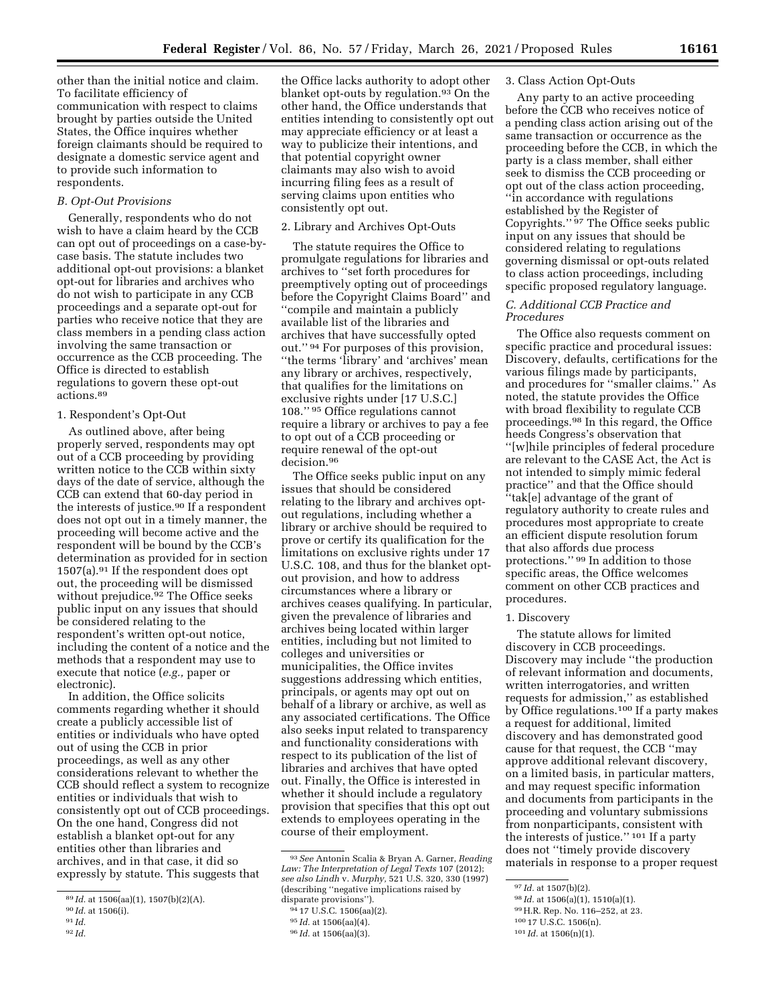other than the initial notice and claim. To facilitate efficiency of communication with respect to claims brought by parties outside the United States, the Office inquires whether foreign claimants should be required to designate a domestic service agent and to provide such information to respondents.

## *B. Opt-Out Provisions*

Generally, respondents who do not wish to have a claim heard by the CCB can opt out of proceedings on a case-bycase basis. The statute includes two additional opt-out provisions: a blanket opt-out for libraries and archives who do not wish to participate in any CCB proceedings and a separate opt-out for parties who receive notice that they are class members in a pending class action involving the same transaction or occurrence as the CCB proceeding. The Office is directed to establish regulations to govern these opt-out actions.89

## 1. Respondent's Opt-Out

As outlined above, after being properly served, respondents may opt out of a CCB proceeding by providing written notice to the CCB within sixty days of the date of service, although the CCB can extend that 60-day period in the interests of justice.<sup>90</sup> If a respondent does not opt out in a timely manner, the proceeding will become active and the respondent will be bound by the CCB's determination as provided for in section  $1507(a).<sup>91</sup>$  If the respondent does opt out, the proceeding will be dismissed without prejudice.<sup>92</sup> The Office seeks public input on any issues that should be considered relating to the respondent's written opt-out notice, including the content of a notice and the methods that a respondent may use to execute that notice (*e.g.,* paper or electronic).

In addition, the Office solicits comments regarding whether it should create a publicly accessible list of entities or individuals who have opted out of using the CCB in prior proceedings, as well as any other considerations relevant to whether the CCB should reflect a system to recognize entities or individuals that wish to consistently opt out of CCB proceedings. On the one hand, Congress did not establish a blanket opt-out for any entities other than libraries and archives, and in that case, it did so expressly by statute. This suggests that

92 *Id.* 

the Office lacks authority to adopt other blanket opt-outs by regulation.93 On the other hand, the Office understands that entities intending to consistently opt out may appreciate efficiency or at least a way to publicize their intentions, and that potential copyright owner claimants may also wish to avoid incurring filing fees as a result of serving claims upon entities who consistently opt out.

## 2. Library and Archives Opt-Outs

The statute requires the Office to promulgate regulations for libraries and archives to ''set forth procedures for preemptively opting out of proceedings before the Copyright Claims Board'' and ''compile and maintain a publicly available list of the libraries and archives that have successfully opted out.'' 94 For purposes of this provision, ''the terms 'library' and 'archives' mean any library or archives, respectively, that qualifies for the limitations on exclusive rights under [17 U.S.C.] 108.'' 95 Office regulations cannot require a library or archives to pay a fee to opt out of a CCB proceeding or require renewal of the opt-out decision.96

The Office seeks public input on any issues that should be considered relating to the library and archives optout regulations, including whether a library or archive should be required to prove or certify its qualification for the limitations on exclusive rights under 17 U.S.C. 108, and thus for the blanket optout provision, and how to address circumstances where a library or archives ceases qualifying. In particular, given the prevalence of libraries and archives being located within larger entities, including but not limited to colleges and universities or municipalities, the Office invites suggestions addressing which entities, principals, or agents may opt out on behalf of a library or archive, as well as any associated certifications. The Office also seeks input related to transparency and functionality considerations with respect to its publication of the list of libraries and archives that have opted out. Finally, the Office is interested in whether it should include a regulatory provision that specifies that this opt out extends to employees operating in the course of their employment.

#### 3. Class Action Opt-Outs

Any party to an active proceeding before the CCB who receives notice of a pending class action arising out of the same transaction or occurrence as the proceeding before the CCB, in which the party is a class member, shall either seek to dismiss the CCB proceeding or opt out of the class action proceeding, ''in accordance with regulations established by the Register of Copyrights.'' 97 The Office seeks public input on any issues that should be considered relating to regulations governing dismissal or opt-outs related to class action proceedings, including specific proposed regulatory language.

## *C. Additional CCB Practice and Procedures*

The Office also requests comment on specific practice and procedural issues: Discovery, defaults, certifications for the various filings made by participants, and procedures for ''smaller claims.'' As noted, the statute provides the Office with broad flexibility to regulate CCB proceedings.98 In this regard, the Office heeds Congress's observation that ''[w]hile principles of federal procedure are relevant to the CASE Act, the Act is not intended to simply mimic federal practice'' and that the Office should ''tak[e] advantage of the grant of regulatory authority to create rules and procedures most appropriate to create an efficient dispute resolution forum that also affords due process protections.'' 99 In addition to those specific areas, the Office welcomes comment on other CCB practices and procedures.

## 1. Discovery

The statute allows for limited discovery in CCB proceedings. Discovery may include ''the production of relevant information and documents, written interrogatories, and written requests for admission,'' as established by Office regulations.100 If a party makes a request for additional, limited discovery and has demonstrated good cause for that request, the CCB ''may approve additional relevant discovery, on a limited basis, in particular matters, and may request specific information and documents from participants in the proceeding and voluntary submissions from nonparticipants, consistent with the interests of justice.'' 101 If a party does not ''timely provide discovery materials in response to a proper request

98 *Id.* at 1506(a)(1), 1510(a)(1).

100 17 U.S.C. 1506(n).

<sup>89</sup> *Id.* at 1506(aa)(1), 1507(b)(2)(A).

<sup>90</sup> *Id.* at 1506(i).

<sup>91</sup> *Id.* 

<sup>93</sup>*See* Antonin Scalia & Bryan A. Garner, *Reading Law: The Interpretation of Legal Texts* 107 (2012); *see also Lindh* v. *Murphy,* 521 U.S. 320, 330 (1997) (describing ''negative implications raised by disparate provisions'').

<sup>94</sup> 17 U.S.C. 1506(aa)(2).

<sup>95</sup> *Id.* at 1506(aa)(4).

<sup>96</sup> *Id.* at 1506(aa)(3).

<sup>97</sup> *Id.* at 1507(b)(2).

<sup>99</sup>H.R. Rep. No. 116–252, at 23.

<sup>101</sup> *Id.* at 1506(n)(1).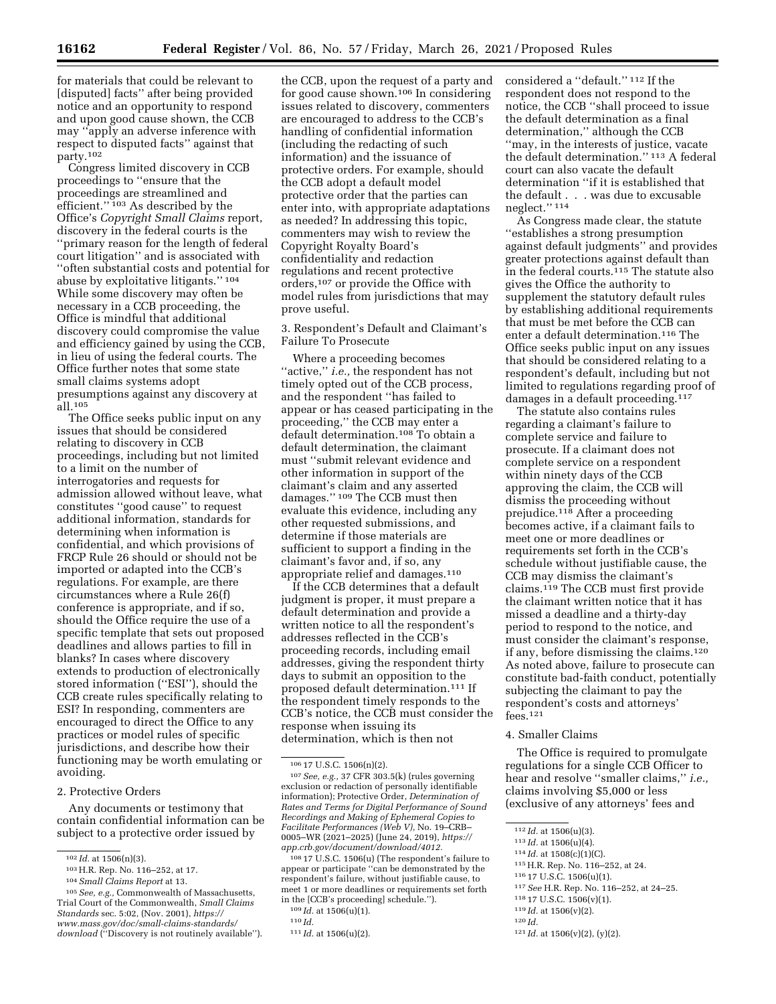for materials that could be relevant to [disputed] facts'' after being provided notice and an opportunity to respond and upon good cause shown, the CCB may ''apply an adverse inference with respect to disputed facts'' against that party.102

Congress limited discovery in CCB proceedings to ''ensure that the proceedings are streamlined and efficient."<sup>103</sup> As described by the Office's *Copyright Small Claims* report, discovery in the federal courts is the ''primary reason for the length of federal court litigation'' and is associated with ''often substantial costs and potential for abuse by exploitative litigants.'' 104 While some discovery may often be necessary in a CCB proceeding, the Office is mindful that additional discovery could compromise the value and efficiency gained by using the CCB, in lieu of using the federal courts. The Office further notes that some state small claims systems adopt presumptions against any discovery at all.105

The Office seeks public input on any issues that should be considered relating to discovery in CCB proceedings, including but not limited to a limit on the number of interrogatories and requests for admission allowed without leave, what constitutes ''good cause'' to request additional information, standards for determining when information is confidential, and which provisions of FRCP Rule 26 should or should not be imported or adapted into the CCB's regulations. For example, are there circumstances where a Rule 26(f) conference is appropriate, and if so, should the Office require the use of a specific template that sets out proposed deadlines and allows parties to fill in blanks? In cases where discovery extends to production of electronically stored information (''ESI''), should the CCB create rules specifically relating to ESI? In responding, commenters are encouraged to direct the Office to any practices or model rules of specific jurisdictions, and describe how their functioning may be worth emulating or avoiding.

#### 2. Protective Orders

Any documents or testimony that contain confidential information can be subject to a protective order issued by

the CCB, upon the request of a party and for good cause shown.106 In considering issues related to discovery, commenters are encouraged to address to the CCB's handling of confidential information (including the redacting of such information) and the issuance of protective orders. For example, should the CCB adopt a default model protective order that the parties can enter into, with appropriate adaptations as needed? In addressing this topic, commenters may wish to review the Copyright Royalty Board's confidentiality and redaction regulations and recent protective orders,107 or provide the Office with model rules from jurisdictions that may prove useful.

3. Respondent's Default and Claimant's Failure To Prosecute

Where a proceeding becomes ''active,'' *i.e.,* the respondent has not timely opted out of the CCB process, and the respondent ''has failed to appear or has ceased participating in the proceeding,'' the CCB may enter a default determination.108 To obtain a default determination, the claimant must ''submit relevant evidence and other information in support of the claimant's claim and any asserted damages.'' 109 The CCB must then evaluate this evidence, including any other requested submissions, and determine if those materials are sufficient to support a finding in the claimant's favor and, if so, any appropriate relief and damages.110

If the CCB determines that a default judgment is proper, it must prepare a default determination and provide a written notice to all the respondent's addresses reflected in the CCB's proceeding records, including email addresses, giving the respondent thirty days to submit an opposition to the proposed default determination.111 If the respondent timely responds to the CCB's notice, the CCB must consider the response when issuing its determination, which is then not

107*See, e.g.,* 37 CFR 303.5(k) (rules governing exclusion or redaction of personally identifiable information); Protective Order, *Determination of Rates and Terms for Digital Performance of Sound Recordings and Making of Ephemeral Copies to Facilitate Performances (Web V),* No. 19–CRB– 0005–WR (2021–2025) (June 24, 2019), *[https://](https://app.crb.gov/document/download/4012) [app.crb.gov/document/download/4012.](https://app.crb.gov/document/download/4012)* 

108 17 U.S.C. 1506(u) (The respondent's failure to appear or participate ''can be demonstrated by the respondent's failure, without justifiable cause, to meet 1 or more deadlines or requirements set forth in the [CCB's proceeding] schedule.'').

considered a ''default.'' 112 If the respondent does not respond to the notice, the CCB ''shall proceed to issue the default determination as a final determination,'' although the CCB ''may, in the interests of justice, vacate the default determination.'' 113 A federal court can also vacate the default determination ''if it is established that the default . . . was due to excusable neglect.'' 114

As Congress made clear, the statute ''establishes a strong presumption against default judgments'' and provides greater protections against default than in the federal courts.115 The statute also gives the Office the authority to supplement the statutory default rules by establishing additional requirements that must be met before the CCB can enter a default determination.116 The Office seeks public input on any issues that should be considered relating to a respondent's default, including but not limited to regulations regarding proof of damages in a default proceeding.<sup>117</sup>

The statute also contains rules regarding a claimant's failure to complete service and failure to prosecute. If a claimant does not complete service on a respondent within ninety days of the CCB approving the claim, the CCB will dismiss the proceeding without prejudice.118 After a proceeding becomes active, if a claimant fails to meet one or more deadlines or requirements set forth in the CCB's schedule without justifiable cause, the CCB may dismiss the claimant's claims.119 The CCB must first provide the claimant written notice that it has missed a deadline and a thirty-day period to respond to the notice, and must consider the claimant's response, if any, before dismissing the claims.120 As noted above, failure to prosecute can constitute bad-faith conduct, potentially subjecting the claimant to pay the respondent's costs and attorneys' fees.121

## 4. Smaller Claims

The Office is required to promulgate regulations for a single CCB Officer to hear and resolve ''smaller claims,'' *i.e.,*  claims involving \$5,000 or less (exclusive of any attorneys' fees and

- 117*See* H.R. Rep. No. 116–252, at 24–25.
- 118 17 U.S.C. 1506(v)(1).

<sup>102</sup> *Id.* at 1506(n)(3).

<sup>103</sup>H.R. Rep. No. 116–252, at 17.

<sup>104</sup>*Small Claims Report* at 13.

<sup>105</sup>*See, e.g.,* Commonwealth of Massachusetts, Trial Court of the Commonwealth, *Small Claims Standards* sec. 5:02, (Nov. 2001), *[https://](https://www.mass.gov/doc/small-claims-standards/download) [www.mass.gov/doc/small-claims-standards/](https://www.mass.gov/doc/small-claims-standards/download) [download](https://www.mass.gov/doc/small-claims-standards/download)* (''Discovery is not routinely available'').

<sup>106</sup> 17 U.S.C. 1506(n)(2).

<sup>109</sup> *Id.* at 1506(u)(1).

<sup>110</sup> *Id.* 

<sup>111</sup> *Id.* at 1506(u)(2).

<sup>112</sup> *Id.* at 1506(u)(3).

<sup>113</sup> *Id.* at 1506(u)(4).

<sup>114</sup> *Id.* at 1508(c)(1)(C).

<sup>115</sup>H.R. Rep. No. 116–252, at 24.

<sup>116</sup> 17 U.S.C. 1506(u)(1).

<sup>119</sup> *Id.* at 1506(v)(2).

<sup>120</sup> *Id.* 

<sup>121</sup> *Id.* at 1506(v)(2), (y)(2).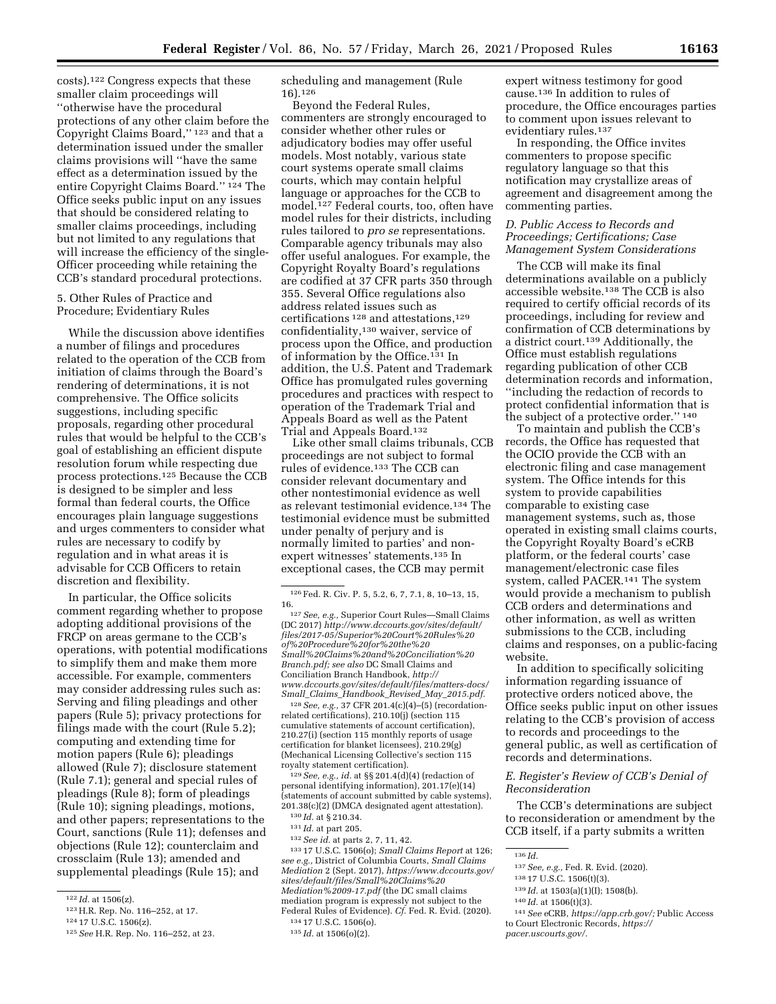costs).122 Congress expects that these smaller claim proceedings will ''otherwise have the procedural protections of any other claim before the Copyright Claims Board,'' 123 and that a determination issued under the smaller claims provisions will ''have the same effect as a determination issued by the entire Copyright Claims Board.'' 124 The Office seeks public input on any issues that should be considered relating to smaller claims proceedings, including but not limited to any regulations that will increase the efficiency of the single-Officer proceeding while retaining the CCB's standard procedural protections.

5. Other Rules of Practice and Procedure; Evidentiary Rules

While the discussion above identifies a number of filings and procedures related to the operation of the CCB from initiation of claims through the Board's rendering of determinations, it is not comprehensive. The Office solicits suggestions, including specific proposals, regarding other procedural rules that would be helpful to the CCB's goal of establishing an efficient dispute resolution forum while respecting due process protections.125 Because the CCB is designed to be simpler and less formal than federal courts, the Office encourages plain language suggestions and urges commenters to consider what rules are necessary to codify by regulation and in what areas it is advisable for CCB Officers to retain discretion and flexibility.

In particular, the Office solicits comment regarding whether to propose adopting additional provisions of the FRCP on areas germane to the CCB's operations, with potential modifications to simplify them and make them more accessible. For example, commenters may consider addressing rules such as: Serving and filing pleadings and other papers (Rule 5); privacy protections for filings made with the court (Rule 5.2); computing and extending time for motion papers (Rule 6); pleadings allowed (Rule 7); disclosure statement (Rule 7.1); general and special rules of pleadings (Rule 8); form of pleadings (Rule 10); signing pleadings, motions, and other papers; representations to the Court, sanctions (Rule 11); defenses and objections (Rule 12); counterclaim and crossclaim (Rule 13); amended and supplemental pleadings (Rule 15); and

scheduling and management (Rule 16).126

Beyond the Federal Rules, commenters are strongly encouraged to consider whether other rules or adjudicatory bodies may offer useful models. Most notably, various state court systems operate small claims courts, which may contain helpful language or approaches for the CCB to model.127 Federal courts, too, often have model rules for their districts, including rules tailored to *pro se* representations. Comparable agency tribunals may also offer useful analogues. For example, the Copyright Royalty Board's regulations are codified at 37 CFR parts 350 through 355. Several Office regulations also address related issues such as certifications 128 and attestations,129 confidentiality,130 waiver, service of process upon the Office, and production of information by the Office.131 In addition, the U.S. Patent and Trademark Office has promulgated rules governing procedures and practices with respect to operation of the Trademark Trial and Appeals Board as well as the Patent Trial and Appeals Board.132

Like other small claims tribunals, CCB proceedings are not subject to formal rules of evidence.133 The CCB can consider relevant documentary and other nontestimonial evidence as well as relevant testimonial evidence.134 The testimonial evidence must be submitted under penalty of perjury and is normally limited to parties' and nonexpert witnesses' statements.135 In exceptional cases, the CCB may permit

128*See, e.g.,* 37 CFR 201.4(c)(4)–(5) (recordationrelated certifications), 210.10(j) (section 115 cumulative statements of account certification), 210.27(i) (section 115 monthly reports of usage certification for blanket licensees), 210.29(g) (Mechanical Licensing Collective's section 115

129 See, e.g., id. at §§ 201.4(d)(4) (redaction of personal identifying information), 201.17(e)(14) (statements of account submitted by cable systems), 201.38(c)(2) (DMCA designated agent attestation).

133 17 U.S.C. 1506(o); *Small Claims Report* at 126; *see e.g.,* District of Columbia Courts, *Small Claims Mediation* 2 (Sept. 2017), *[https://www.dccourts.gov/](https://www.dccourts.gov/sites/default/files/Small%20Claims%20Mediation%2009-17.pdf)  [sites/default/files/Small%20Claims%20](https://www.dccourts.gov/sites/default/files/Small%20Claims%20Mediation%2009-17.pdf) [Mediation%2009-17.pdf](https://www.dccourts.gov/sites/default/files/Small%20Claims%20Mediation%2009-17.pdf)* (the DC small claims mediation program is expressly not subject to the Federal Rules of Evidence). *Cf.* Fed. R. Evid. (2020).

expert witness testimony for good cause.136 In addition to rules of procedure, the Office encourages parties to comment upon issues relevant to evidentiary rules.137

In responding, the Office invites commenters to propose specific regulatory language so that this notification may crystallize areas of agreement and disagreement among the commenting parties.

## *D. Public Access to Records and Proceedings; Certifications; Case Management System Considerations*

The CCB will make its final determinations available on a publicly accessible website.138 The CCB is also required to certify official records of its proceedings, including for review and confirmation of CCB determinations by a district court.139 Additionally, the Office must establish regulations regarding publication of other CCB determination records and information, ''including the redaction of records to protect confidential information that is the subject of a protective order.'' 140

To maintain and publish the CCB's records, the Office has requested that the OCIO provide the CCB with an electronic filing and case management system. The Office intends for this system to provide capabilities comparable to existing case management systems, such as, those operated in existing small claims courts, the Copyright Royalty Board's eCRB platform, or the federal courts' case management/electronic case files system, called PACER.141 The system would provide a mechanism to publish CCB orders and determinations and other information, as well as written submissions to the CCB, including claims and responses, on a public-facing website.

In addition to specifically soliciting information regarding issuance of protective orders noticed above, the Office seeks public input on other issues relating to the CCB's provision of access to records and proceedings to the general public, as well as certification of records and determinations.

## *E. Register's Review of CCB's Denial of Reconsideration*

The CCB's determinations are subject to reconsideration or amendment by the CCB itself, if a party submits a written

- 138 17 U.S.C. 1506(t)(3).
- 139 *Id.* at 1503(a)(1)(I); 1508(b).
- 140 *Id.* at 1506(t)(3).

*[pacer.uscourts.gov/.](https://pacer.uscourts.gov/)* 

<sup>122</sup> *Id.* at 1506(z).

<sup>123</sup>H.R. Rep. No. 116–252, at 17.

<sup>124</sup> 17 U.S.C. 1506(z).

<sup>125</sup>*See* H.R. Rep. No. 116–252, at 23.

<sup>126</sup>Fed. R. Civ. P. 5, 5.2, 6, 7, 7.1, 8, 10–13, 15,

<sup>16. 127</sup>*See, e.g.,* Superior Court Rules—Small Claims (DC 2017) *[http://www.dccourts.gov/sites/default/](http://www.dccourts.gov/sites/default/files/2017-05/Superior%20Court%20Rules%20of%20Procedure%20for%20the%20Small%20Claims%20and%20Conciliation%20Branch.pdf) [files/2017-05/Superior%20Court%20Rules%20](http://www.dccourts.gov/sites/default/files/2017-05/Superior%20Court%20Rules%20of%20Procedure%20for%20the%20Small%20Claims%20and%20Conciliation%20Branch.pdf) [of%20Procedure%20for%20the%20](http://www.dccourts.gov/sites/default/files/2017-05/Superior%20Court%20Rules%20of%20Procedure%20for%20the%20Small%20Claims%20and%20Conciliation%20Branch.pdf) [Small%20Claims%20and%20Conciliation%20](http://www.dccourts.gov/sites/default/files/2017-05/Superior%20Court%20Rules%20of%20Procedure%20for%20the%20Small%20Claims%20and%20Conciliation%20Branch.pdf) [Branch.pdf;](http://www.dccourts.gov/sites/default/files/2017-05/Superior%20Court%20Rules%20of%20Procedure%20for%20the%20Small%20Claims%20and%20Conciliation%20Branch.pdf) see also* DC Small Claims and Conciliation Branch Handbook, *[http://](http://www.dccourts.gov/sites/default/files/matters-docs/Small_Claims_Handbook_Revised_May_2015.pdf) [www.dccourts.gov/sites/default/files/matters-docs/](http://www.dccourts.gov/sites/default/files/matters-docs/Small_Claims_Handbook_Revised_May_2015.pdf)  Small*\_*Claims*\_*[Handbook](http://www.dccourts.gov/sites/default/files/matters-docs/Small_Claims_Handbook_Revised_May_2015.pdf)*\_*Revised*\_*May*\_*2015.pdf.* 

<sup>130</sup> *Id.* at § 210.34.

<sup>131</sup> *Id.* at part 205.

<sup>132</sup>*See id.* at parts 2, 7, 11, 42.

<sup>134</sup> 17 U.S.C. 1506(o).

<sup>135</sup> *Id.* at 1506(o)(2).

<sup>136</sup> *Id.* 

<sup>137</sup>*See, e.g.,* Fed. R. Evid. (2020).

<sup>141</sup>*See* eCRB, *[https://app.crb.gov/;](https://app.crb.gov/)* Public Access to Court Electronic Records, *[https://](https://pacer.uscourts.gov/)*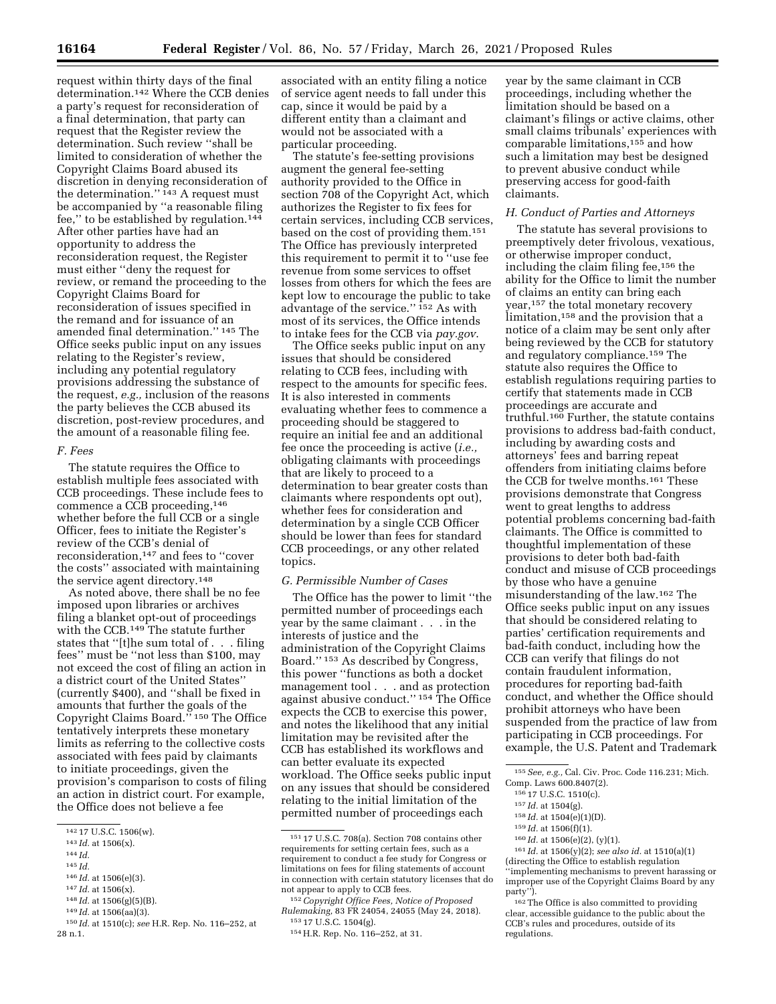request within thirty days of the final determination.142 Where the CCB denies a party's request for reconsideration of a final determination, that party can request that the Register review the determination. Such review ''shall be limited to consideration of whether the Copyright Claims Board abused its discretion in denying reconsideration of the determination."<sup>143</sup> A request must be accompanied by ''a reasonable filing fee," to be established by regulation.<sup>144</sup> After other parties have had an opportunity to address the reconsideration request, the Register must either ''deny the request for review, or remand the proceeding to the Copyright Claims Board for reconsideration of issues specified in the remand and for issuance of an amended final determination.'' 145 The Office seeks public input on any issues relating to the Register's review, including any potential regulatory provisions addressing the substance of the request, *e.g.,* inclusion of the reasons the party believes the CCB abused its discretion, post-review procedures, and the amount of a reasonable filing fee.

#### *F. Fees*

The statute requires the Office to establish multiple fees associated with CCB proceedings. These include fees to commence a CCB proceeding,146 whether before the full CCB or a single Officer, fees to initiate the Register's review of the CCB's denial of reconsideration,147 and fees to ''cover the costs'' associated with maintaining the service agent directory.148

As noted above, there shall be no fee imposed upon libraries or archives filing a blanket opt-out of proceedings with the CCB.149 The statute further states that ''[t]he sum total of . . . filing fees'' must be ''not less than \$100, may not exceed the cost of filing an action in a district court of the United States'' (currently \$400), and ''shall be fixed in amounts that further the goals of the Copyright Claims Board.'' 150 The Office tentatively interprets these monetary limits as referring to the collective costs associated with fees paid by claimants to initiate proceedings, given the provision's comparison to costs of filing an action in district court. For example, the Office does not believe a fee

- 146 *Id.* at 1506(e)(3).
- 147 *Id.* at 1506(x).
- 148 *Id.* at 1506(g)(5)(B).
- 149 *Id.* at 1506(aa)(3).

associated with an entity filing a notice of service agent needs to fall under this cap, since it would be paid by a different entity than a claimant and would not be associated with a particular proceeding.

The statute's fee-setting provisions augment the general fee-setting authority provided to the Office in section 708 of the Copyright Act, which authorizes the Register to fix fees for certain services, including CCB services, based on the cost of providing them.151 The Office has previously interpreted this requirement to permit it to ''use fee revenue from some services to offset losses from others for which the fees are kept low to encourage the public to take advantage of the service.'' 152 As with most of its services, the Office intends to intake fees for the CCB via *pay.gov*.

The Office seeks public input on any issues that should be considered relating to CCB fees, including with respect to the amounts for specific fees. It is also interested in comments evaluating whether fees to commence a proceeding should be staggered to require an initial fee and an additional fee once the proceeding is active (*i.e.,*  obligating claimants with proceedings that are likely to proceed to a determination to bear greater costs than claimants where respondents opt out), whether fees for consideration and determination by a single CCB Officer should be lower than fees for standard CCB proceedings, or any other related topics.

## *G. Permissible Number of Cases*

The Office has the power to limit ''the permitted number of proceedings each year by the same claimant . . . in the interests of justice and the administration of the Copyright Claims Board.'' 153 As described by Congress, this power ''functions as both a docket management tool . . . and as protection against abusive conduct.'' 154 The Office expects the CCB to exercise this power, and notes the likelihood that any initial limitation may be revisited after the CCB has established its workflows and can better evaluate its expected workload. The Office seeks public input on any issues that should be considered relating to the initial limitation of the permitted number of proceedings each

year by the same claimant in CCB proceedings, including whether the limitation should be based on a claimant's filings or active claims, other small claims tribunals' experiences with comparable limitations,155 and how such a limitation may best be designed to prevent abusive conduct while preserving access for good-faith claimants.

#### *H. Conduct of Parties and Attorneys*

The statute has several provisions to preemptively deter frivolous, vexatious, or otherwise improper conduct, including the claim filing fee,156 the ability for the Office to limit the number of claims an entity can bring each year,157 the total monetary recovery limitation,<sup>158</sup> and the provision that a notice of a claim may be sent only after being reviewed by the CCB for statutory and regulatory compliance.159 The statute also requires the Office to establish regulations requiring parties to certify that statements made in CCB proceedings are accurate and truthful.160 Further, the statute contains provisions to address bad-faith conduct, including by awarding costs and attorneys' fees and barring repeat offenders from initiating claims before the CCB for twelve months.161 These provisions demonstrate that Congress went to great lengths to address potential problems concerning bad-faith claimants. The Office is committed to thoughtful implementation of these provisions to deter both bad-faith conduct and misuse of CCB proceedings by those who have a genuine misunderstanding of the law.162 The Office seeks public input on any issues that should be considered relating to parties' certification requirements and bad-faith conduct, including how the CCB can verify that filings do not contain fraudulent information, procedures for reporting bad-faith conduct, and whether the Office should prohibit attorneys who have been suspended from the practice of law from participating in CCB proceedings. For example, the U.S. Patent and Trademark

162The Office is also committed to providing clear, accessible guidance to the public about the CCB's rules and procedures, outside of its regulations.

<sup>142</sup> 17 U.S.C. 1506(w).

<sup>143</sup> *Id.* at 1506(x).

<sup>144</sup> *Id.* 

<sup>145</sup> *Id.* 

<sup>150</sup> *Id.* at 1510(c); *see* H.R. Rep. No. 116–252, at 28 n.1.

<sup>151</sup> 17 U.S.C. 708(a). Section 708 contains other requirements for setting certain fees, such as a requirement to conduct a fee study for Congress or limitations on fees for filing statements of account in connection with certain statutory licenses that do not appear to apply to CCB fees.

<sup>152</sup>*Copyright Office Fees, Notice of Proposed Rulemaking,* 83 FR 24054, 24055 (May 24, 2018). 153 17 U.S.C. 1504(g).

<sup>154</sup>H.R. Rep. No. 116–252, at 31.

<sup>155</sup>*See, e.g.,* Cal. Civ. Proc. Code 116.231; Mich. Comp. Laws 600.8407(2).

<sup>156</sup> 17 U.S.C. 1510(c).

<sup>157</sup> *Id.* at 1504(g).

<sup>158</sup> *Id.* at 1504(e)(1)(D).

<sup>159</sup> *Id.* at 1506(f)(1).

<sup>160</sup> *Id.* at 1506(e)(2), (y)(1).

<sup>161</sup> *Id.* at 1506(y)(2); *see also id.* at 1510(a)(1) (directing the Office to establish regulation

<sup>&#</sup>x27;'implementing mechanisms to prevent harassing or improper use of the Copyright Claims Board by any party'').